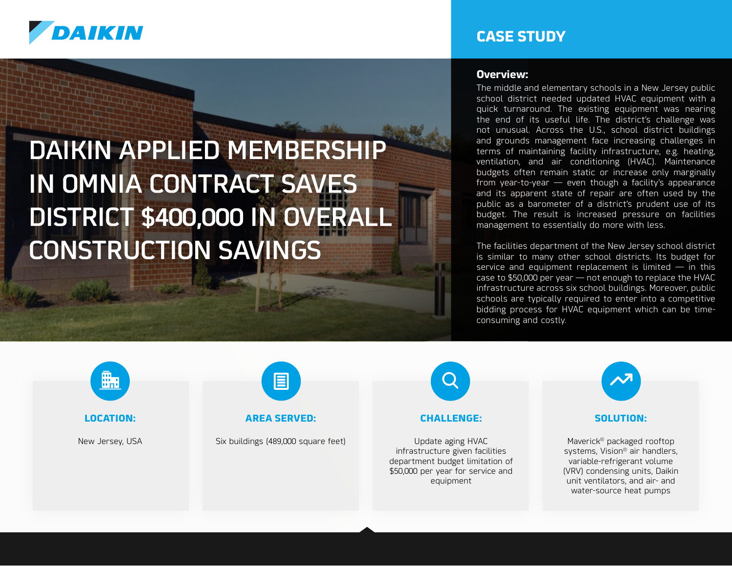

# DAIKIN APPLIED MEMBERSHIP IN OMNIA CONTRACT SAVES DISTRICT \$400,000 IN OVERALL CONSTRUCTION SAVINGS

### **CASE STUDY**

#### **Overview:**

The middle and elementary schools in a New Jersey public school district needed updated HVAC equipment with a quick turnaround. The existing equipment was nearing the end of its useful life. The district's challenge was not unusual. Across the U.S., school district buildings and grounds management face increasing challenges in terms of maintaining facility infrastructure, e.g. heating, ventilation, and air conditioning (HVAC). Maintenance budgets often remain static or increase only marginally from year-to-year — even though a facility's appearance and its apparent state of repair are often used by the public as a barometer of a district's prudent use of its budget. The result is increased pressure on facilities management to essentially do more with less.

The facilities department of the New Jersey school district is similar to many other school districts. Its budget for service and equipment replacement is limited  $-$  in this case to \$50,000 per year — not enough to replace the HVAC infrastructure across six school buildings. Moreover, public schools are typically required to enter into a competitive bidding process for HVAC equipment which can be timeconsuming and costly.



**LOCATION:**

New Jersey, USA



#### **AREA SERVED:**

Six buildings (489,000 square feet)



#### **CHALLENGE:**

Update aging HVAC infrastructure given facilities department budget limitation of \$50,000 per year for service and equipment



#### **SOLUTION:**

Maverick® packaged rooftop systems, Vision® air handlers, variable-refrigerant volume (VRV) condensing units, Daikin unit ventilators, and air- and water-source heat pumps